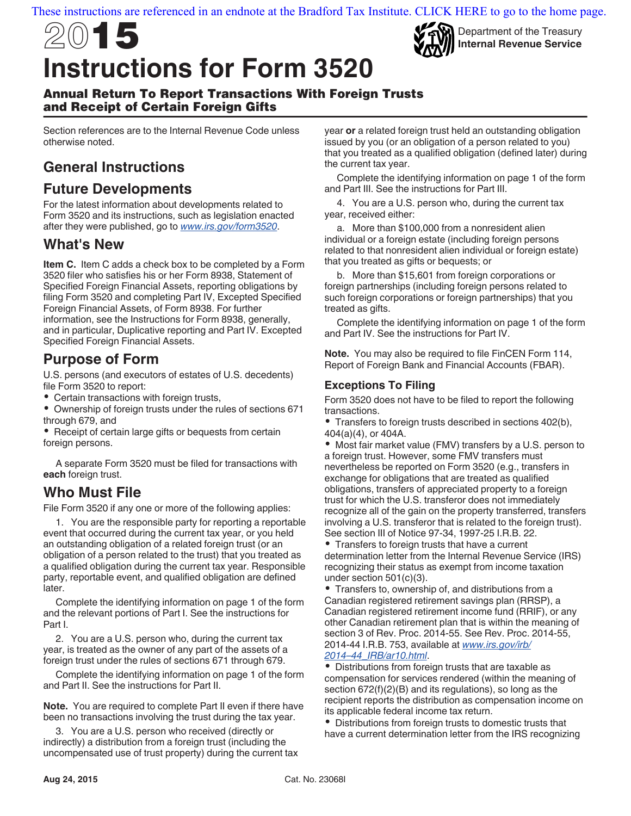

Annual Return To Report Transactions With Foreign Trusts and Receipt of Certain Foreign Gifts

Section references are to the Internal Revenue Code unless otherwise noted.

# General Instructions

## Future Developments

For the latest information about developments related to Form 3520 and its instructions, such as legislation enacted after they were published, go to www.irs.gov/form3520.

## What's New

Item C. Item C adds a check box to be completed by a Form 3520 filer who satisfies his or her Form 8938, Statement of Specified Foreign Financial Assets, reporting obligations by filing Form 3520 and completing Part IV, Excepted Specified Foreign Financial Assets, of Form 8938. For further information, see the Instructions for Form 8938, generally, and in particular, Duplicative reporting and Part IV. Excepted Specified Foreign Financial Assets.

## Purpose of Form

U.S. persons (and executors of estates of U.S. decedents) file Form 3520 to report:

- Certain transactions with foreign trusts,
- Ownership of foreign trusts under the rules of sections 671 through 679, and
- Receipt of certain large gifts or bequests from certain foreign persons.

A separate Form 3520 must be filed for transactions with each foreign trust.

## Who Must File

File Form 3520 if any one or more of the following applies:

1. You are the responsible party for reporting a reportable event that occurred during the current tax year, or you held an outstanding obligation of a related foreign trust (or an obligation of a person related to the trust) that you treated as a qualified obligation during the current tax year. Responsible party, reportable event, and qualified obligation are defined later.

Complete the identifying information on page 1 of the form and the relevant portions of Part I. See the instructions for Part I.

2. You are a U.S. person who, during the current tax year, is treated as the owner of any part of the assets of a foreign trust under the rules of sections 671 through 679.

Complete the identifying information on page 1 of the form and Part II. See the instructions for Part II.

Note. You are required to complete Part II even if there have been no transactions involving the trust during the tax year.

3. You are a U.S. person who received (directly or indirectly) a distribution from a foreign trust (including the uncompensated use of trust property) during the current tax year or a related foreign trust held an outstanding obligation issued by you (or an obligation of a person related to you) that you treated as a qualified obligation (defined later) during the current tax year.

Department of the Treasury Internal Revenue Service

Complete the identifying information on page 1 of the form and Part III. See the instructions for Part III.

4. You are a U.S. person who, during the current tax year, received either:

a. More than \$100,000 from a nonresident alien individual or a foreign estate (including foreign persons related to that nonresident alien individual or foreign estate) that you treated as gifts or bequests; or

b. More than \$15,601 from foreign corporations or foreign partnerships (including foreign persons related to such foreign corporations or foreign partnerships) that you treated as gifts.

Complete the identifying information on page 1 of the form and Part IV. See the instructions for Part IV.

Note. You may also be required to file FinCEN Form 114, Report of Foreign Bank and Financial Accounts (FBAR).

### Exceptions To Filing

Form 3520 does not have to be filed to report the following transactions.

Transfers to foreign trusts described in sections 402(b), 404(a)(4), or 404A.

Most fair market value (FMV) transfers by a U.S. person to a foreign trust. However, some FMV transfers must nevertheless be reported on Form 3520 (e.g., transfers in exchange for obligations that are treated as qualified obligations, transfers of appreciated property to a foreign trust for which the U.S. transferor does not immediately recognize all of the gain on the property transferred, transfers involving a U.S. transferor that is related to the foreign trust). See section III of Notice 97-34, 1997-25 I.R.B. 22.

Transfers to foreign trusts that have a current determination letter from the Internal Revenue Service (IRS) recognizing their status as exempt from income taxation under section 501(c)(3).

Transfers to, ownership of, and distributions from a Canadian registered retirement savings plan (RRSP), a Canadian registered retirement income fund (RRIF), or any other Canadian retirement plan that is within the meaning of section 3 of Rev. Proc. 2014-55. See Rev. Proc. 2014-55, 2014-44 I.R.B. 753, available at www.irs.gov/irb/ 2014–44\_IRB/ar10.html.

Distributions from foreign trusts that are taxable as compensation for services rendered (within the meaning of section 672(f)(2)(B) and its regulations), so long as the recipient reports the distribution as compensation income on its applicable federal income tax return.

Distributions from foreign trusts to domestic trusts that have a current determination letter from the IRS recognizing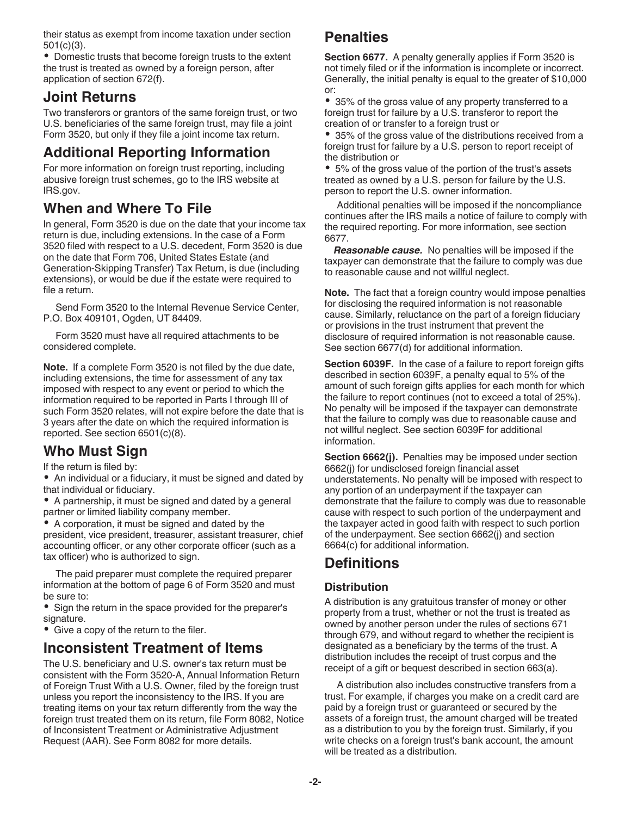their status as exempt from income taxation under section 501(c)(3).

Domestic trusts that become foreign trusts to the extent the trust is treated as owned by a foreign person, after application of section 672(f).

## Joint Returns

Two transferors or grantors of the same foreign trust, or two U.S. beneficiaries of the same foreign trust, may file a joint Form 3520, but only if they file a joint income tax return.

# Additional Reporting Information

For more information on foreign trust reporting, including abusive foreign trust schemes, go to the IRS website at IRS.gov.

# When and Where To File

In general, Form 3520 is due on the date that your income tax return is due, including extensions. In the case of a Form 3520 filed with respect to a U.S. decedent, Form 3520 is due on the date that Form 706, United States Estate (and Generation-Skipping Transfer) Tax Return, is due (including extensions), or would be due if the estate were required to file a return.

Send Form 3520 to the Internal Revenue Service Center, P.O. Box 409101, Ogden, UT 84409.

Form 3520 must have all required attachments to be considered complete.

Note. If a complete Form 3520 is not filed by the due date, including extensions, the time for assessment of any tax imposed with respect to any event or period to which the information required to be reported in Parts I through III of such Form 3520 relates, will not expire before the date that is 3 years after the date on which the required information is reported. See section 6501(c)(8).

# Who Must Sign

If the return is filed by:

• An individual or a fiduciary, it must be signed and dated by that individual or fiduciary.

A partnership, it must be signed and dated by a general partner or limited liability company member.

A corporation, it must be signed and dated by the president, vice president, treasurer, assistant treasurer, chief accounting officer, or any other corporate officer (such as a tax officer) who is authorized to sign.

The paid preparer must complete the required preparer information at the bottom of page 6 of Form 3520 and must be sure to:

• Sign the return in the space provided for the preparer's signature.

Give a copy of the return to the filer.

## Inconsistent Treatment of Items

The U.S. beneficiary and U.S. owner's tax return must be consistent with the Form 3520-A, Annual Information Return of Foreign Trust With a U.S. Owner, filed by the foreign trust unless you report the inconsistency to the IRS. If you are treating items on your tax return differently from the way the foreign trust treated them on its return, file Form 8082, Notice of Inconsistent Treatment or Administrative Adjustment Request (AAR). See Form 8082 for more details.

# **Penalties**

Section 6677. A penalty generally applies if Form 3520 is not timely filed or if the information is incomplete or incorrect. Generally, the initial penalty is equal to the greater of \$10,000 or:

35% of the gross value of any property transferred to a foreign trust for failure by a U.S. transferor to report the creation of or transfer to a foreign trust or

35% of the gross value of the distributions received from a foreign trust for failure by a U.S. person to report receipt of the distribution or

5% of the gross value of the portion of the trust's assets treated as owned by a U.S. person for failure by the U.S. person to report the U.S. owner information.

Additional penalties will be imposed if the noncompliance continues after the IRS mails a notice of failure to comply with the required reporting. For more information, see section 6677.

Reasonable cause. No penalties will be imposed if the taxpayer can demonstrate that the failure to comply was due to reasonable cause and not willful neglect.

Note. The fact that a foreign country would impose penalties for disclosing the required information is not reasonable cause. Similarly, reluctance on the part of a foreign fiduciary or provisions in the trust instrument that prevent the disclosure of required information is not reasonable cause. See section 6677(d) for additional information.

Section 6039F. In the case of a failure to report foreign gifts described in section 6039F, a penalty equal to 5% of the amount of such foreign gifts applies for each month for which the failure to report continues (not to exceed a total of 25%). No penalty will be imposed if the taxpayer can demonstrate that the failure to comply was due to reasonable cause and not willful neglect. See section 6039F for additional information.

Section 6662(j). Penalties may be imposed under section 6662(j) for undisclosed foreign financial asset understatements. No penalty will be imposed with respect to any portion of an underpayment if the taxpayer can demonstrate that the failure to comply was due to reasonable cause with respect to such portion of the underpayment and the taxpayer acted in good faith with respect to such portion of the underpayment. See section 6662(j) and section 6664(c) for additional information.

# **Definitions**

### **Distribution**

A distribution is any gratuitous transfer of money or other property from a trust, whether or not the trust is treated as owned by another person under the rules of sections 671 through 679, and without regard to whether the recipient is designated as a beneficiary by the terms of the trust. A distribution includes the receipt of trust corpus and the receipt of a gift or bequest described in section 663(a).

A distribution also includes constructive transfers from a trust. For example, if charges you make on a credit card are paid by a foreign trust or guaranteed or secured by the assets of a foreign trust, the amount charged will be treated as a distribution to you by the foreign trust. Similarly, if you write checks on a foreign trust's bank account, the amount will be treated as a distribution.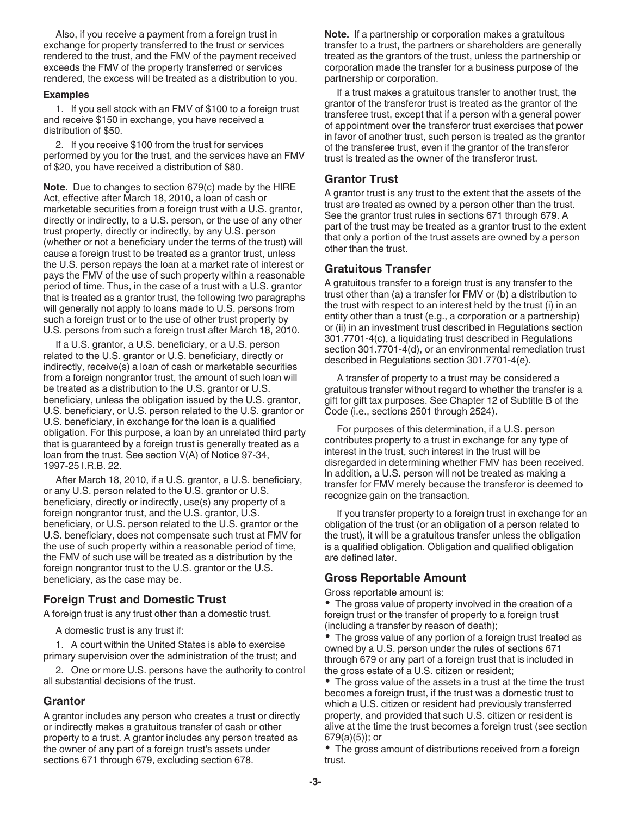Also, if you receive a payment from a foreign trust in exchange for property transferred to the trust or services rendered to the trust, and the FMV of the payment received exceeds the FMV of the property transferred or services rendered, the excess will be treated as a distribution to you.

#### Examples

1. If you sell stock with an FMV of \$100 to a foreign trust and receive \$150 in exchange, you have received a distribution of \$50.

2. If you receive \$100 from the trust for services performed by you for the trust, and the services have an FMV of \$20, you have received a distribution of \$80.

Note. Due to changes to section 679(c) made by the HIRE Act, effective after March 18, 2010, a loan of cash or marketable securities from a foreign trust with a U.S. grantor, directly or indirectly, to a U.S. person, or the use of any other trust property, directly or indirectly, by any U.S. person (whether or not a beneficiary under the terms of the trust) will cause a foreign trust to be treated as a grantor trust, unless the U.S. person repays the loan at a market rate of interest or pays the FMV of the use of such property within a reasonable period of time. Thus, in the case of a trust with a U.S. grantor that is treated as a grantor trust, the following two paragraphs will generally not apply to loans made to U.S. persons from such a foreign trust or to the use of other trust property by U.S. persons from such a foreign trust after March 18, 2010.

If a U.S. grantor, a U.S. beneficiary, or a U.S. person related to the U.S. grantor or U.S. beneficiary, directly or indirectly, receive(s) a loan of cash or marketable securities from a foreign nongrantor trust, the amount of such loan will be treated as a distribution to the U.S. grantor or U.S. beneficiary, unless the obligation issued by the U.S. grantor, U.S. beneficiary, or U.S. person related to the U.S. grantor or U.S. beneficiary, in exchange for the loan is a qualified obligation. For this purpose, a loan by an unrelated third party that is guaranteed by a foreign trust is generally treated as a loan from the trust. See section V(A) of Notice 97-34, 1997-25 I.R.B. 22.

After March 18, 2010, if a U.S. grantor, a U.S. beneficiary, or any U.S. person related to the U.S. grantor or U.S. beneficiary, directly or indirectly, use(s) any property of a foreign nongrantor trust, and the U.S. grantor, U.S. beneficiary, or U.S. person related to the U.S. grantor or the U.S. beneficiary, does not compensate such trust at FMV for the use of such property within a reasonable period of time, the FMV of such use will be treated as a distribution by the foreign nongrantor trust to the U.S. grantor or the U.S. beneficiary, as the case may be.

#### Foreign Trust and Domestic Trust

A foreign trust is any trust other than a domestic trust.

A domestic trust is any trust if:

1. A court within the United States is able to exercise primary supervision over the administration of the trust; and

2. One or more U.S. persons have the authority to control all substantial decisions of the trust.

#### Grantor

A grantor includes any person who creates a trust or directly or indirectly makes a gratuitous transfer of cash or other property to a trust. A grantor includes any person treated as the owner of any part of a foreign trust's assets under sections 671 through 679, excluding section 678.

Note. If a partnership or corporation makes a gratuitous transfer to a trust, the partners or shareholders are generally treated as the grantors of the trust, unless the partnership or corporation made the transfer for a business purpose of the partnership or corporation.

If a trust makes a gratuitous transfer to another trust, the grantor of the transferor trust is treated as the grantor of the transferee trust, except that if a person with a general power of appointment over the transferor trust exercises that power in favor of another trust, such person is treated as the grantor of the transferee trust, even if the grantor of the transferor trust is treated as the owner of the transferor trust.

#### Grantor Trust

A grantor trust is any trust to the extent that the assets of the trust are treated as owned by a person other than the trust. See the grantor trust rules in sections 671 through 679. A part of the trust may be treated as a grantor trust to the extent that only a portion of the trust assets are owned by a person other than the trust.

#### Gratuitous Transfer

A gratuitous transfer to a foreign trust is any transfer to the trust other than (a) a transfer for FMV or (b) a distribution to the trust with respect to an interest held by the trust (i) in an entity other than a trust (e.g., a corporation or a partnership) or (ii) in an investment trust described in Regulations section 301.7701-4(c), a liquidating trust described in Regulations section 301.7701-4(d), or an environmental remediation trust described in Regulations section 301.7701-4(e).

A transfer of property to a trust may be considered a gratuitous transfer without regard to whether the transfer is a gift for gift tax purposes. See Chapter 12 of Subtitle B of the Code (i.e., sections 2501 through 2524).

For purposes of this determination, if a U.S. person contributes property to a trust in exchange for any type of interest in the trust, such interest in the trust will be disregarded in determining whether FMV has been received. In addition, a U.S. person will not be treated as making a transfer for FMV merely because the transferor is deemed to recognize gain on the transaction.

If you transfer property to a foreign trust in exchange for an obligation of the trust (or an obligation of a person related to the trust), it will be a gratuitous transfer unless the obligation is a qualified obligation. Obligation and qualified obligation are defined later.

#### Gross Reportable Amount

Gross reportable amount is:

The gross value of property involved in the creation of a foreign trust or the transfer of property to a foreign trust (including a transfer by reason of death);

The gross value of any portion of a foreign trust treated as owned by a U.S. person under the rules of sections 671 through 679 or any part of a foreign trust that is included in the gross estate of a U.S. citizen or resident;

The gross value of the assets in a trust at the time the trust becomes a foreign trust, if the trust was a domestic trust to which a U.S. citizen or resident had previously transferred property, and provided that such U.S. citizen or resident is alive at the time the trust becomes a foreign trust (see section 679(a)(5)); or

The gross amount of distributions received from a foreign trust.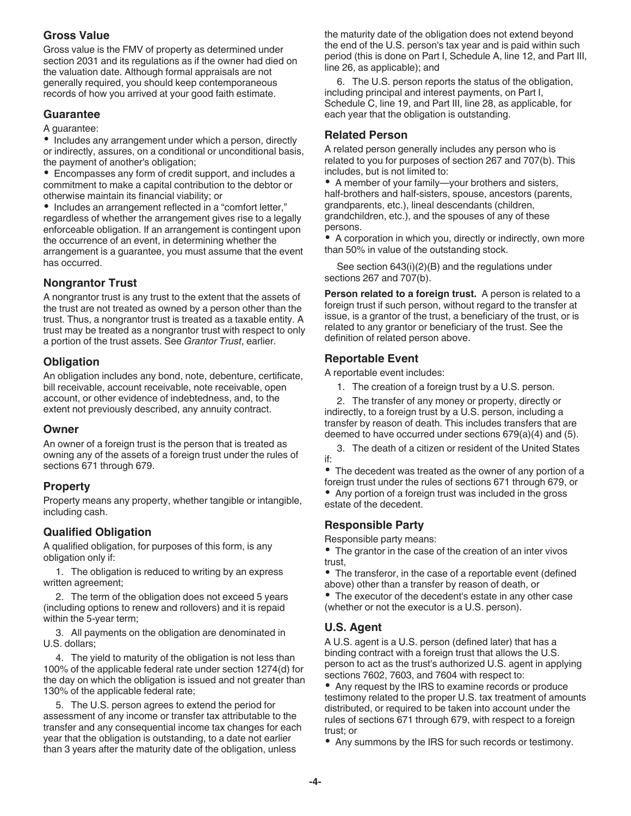### Gross Value

Gross value is the FMV of property as determined under section 2031 and its regulations as if the owner had died on the valuation date. Although formal appraisals are not generally required, you should keep contemporaneous records of how you arrived at your good faith estimate.

### **Guarantee**

A guarantee:

• Includes any arrangement under which a person, directly or indirectly, assures, on a conditional or unconditional basis, the payment of another's obligation;

Encompasses any form of credit support, and includes a commitment to make a capital contribution to the debtor or otherwise maintain its financial viability; or

• Includes an arrangement reflected in a "comfort letter," regardless of whether the arrangement gives rise to a legally enforceable obligation. If an arrangement is contingent upon the occurrence of an event, in determining whether the arrangement is a guarantee, you must assume that the event has occurred.

### Nongrantor Trust

A nongrantor trust is any trust to the extent that the assets of the trust are not treated as owned by a person other than the trust. Thus, a nongrantor trust is treated as a taxable entity. A trust may be treated as a nongrantor trust with respect to only a portion of the trust assets. See Grantor Trust, earlier.

### **Obligation**

An obligation includes any bond, note, debenture, certificate, bill receivable, account receivable, note receivable, open account, or other evidence of indebtedness, and, to the extent not previously described, any annuity contract.

#### Owner

An owner of a foreign trust is the person that is treated as owning any of the assets of a foreign trust under the rules of sections 671 through 679.

### **Property**

Property means any property, whether tangible or intangible, including cash.

### Qualified Obligation

A qualified obligation, for purposes of this form, is any obligation only if:

1. The obligation is reduced to writing by an express written agreement;

2. The term of the obligation does not exceed 5 years (including options to renew and rollovers) and it is repaid within the 5-year term;

3. All payments on the obligation are denominated in U.S. dollars;

4. The yield to maturity of the obligation is not less than 100% of the applicable federal rate under section 1274(d) for the day on which the obligation is issued and not greater than 130% of the applicable federal rate;

5. The U.S. person agrees to extend the period for assessment of any income or transfer tax attributable to the transfer and any consequential income tax changes for each year that the obligation is outstanding, to a date not earlier than 3 years after the maturity date of the obligation, unless

the maturity date of the obligation does not extend beyond the end of the U.S. person's tax year and is paid within such period (this is done on Part I, Schedule A, line 12, and Part III, line 26, as applicable); and

6. The U.S. person reports the status of the obligation, including principal and interest payments, on Part I, Schedule C, line 19, and Part III, line 28, as applicable, for each year that the obligation is outstanding.

### Related Person

A related person generally includes any person who is related to you for purposes of section 267 and 707(b). This includes, but is not limited to:

A member of your family—your brothers and sisters, half-brothers and half-sisters, spouse, ancestors (parents, grandparents, etc.), lineal descendants (children, grandchildren, etc.), and the spouses of any of these persons.

• A corporation in which you, directly or indirectly, own more than 50% in value of the outstanding stock.

See section 643(i)(2)(B) and the regulations under sections 267 and 707(b).

Person related to a foreign trust. A person is related to a foreign trust if such person, without regard to the transfer at issue, is a grantor of the trust, a beneficiary of the trust, or is related to any grantor or beneficiary of the trust. See the definition of related person above.

#### Reportable Event

A reportable event includes:

1. The creation of a foreign trust by a U.S. person.

2. The transfer of any money or property, directly or indirectly, to a foreign trust by a U.S. person, including a transfer by reason of death. This includes transfers that are deemed to have occurred under sections 679(a)(4) and (5).

3. The death of a citizen or resident of the United States if:

The decedent was treated as the owner of any portion of a foreign trust under the rules of sections 671 through 679, or Any portion of a foreign trust was included in the gross estate of the decedent.

### Responsible Party

Responsible party means:

The grantor in the case of the creation of an inter vivos trust,

The transferor, in the case of a reportable event (defined above) other than a transfer by reason of death, or The executor of the decedent's estate in any other case (whether or not the executor is a U.S. person).

### U.S. Agent

A U.S. agent is a U.S. person (defined later) that has a binding contract with a foreign trust that allows the U.S. person to act as the trust's authorized U.S. agent in applying sections 7602, 7603, and 7604 with respect to:

Any request by the IRS to examine records or produce testimony related to the proper U.S. tax treatment of amounts distributed, or required to be taken into account under the rules of sections 671 through 679, with respect to a foreign trust; or

Any summons by the IRS for such records or testimony.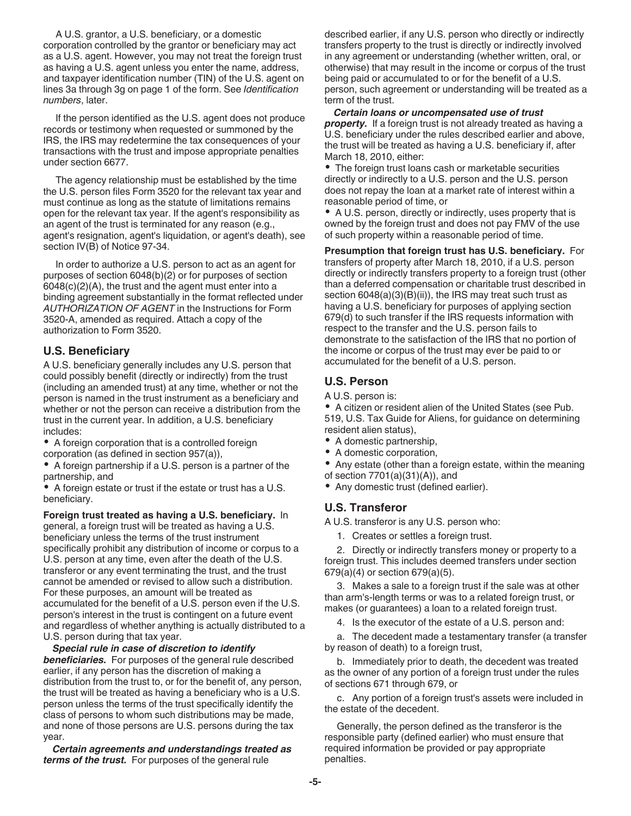A U.S. grantor, a U.S. beneficiary, or a domestic corporation controlled by the grantor or beneficiary may act as a U.S. agent. However, you may not treat the foreign trust as having a U.S. agent unless you enter the name, address, and taxpayer identification number (TIN) of the U.S. agent on lines 3a through 3g on page 1 of the form. See Identification numbers, later.

If the person identified as the U.S. agent does not produce records or testimony when requested or summoned by the IRS, the IRS may redetermine the tax consequences of your transactions with the trust and impose appropriate penalties under section 6677.

The agency relationship must be established by the time the U.S. person files Form 3520 for the relevant tax year and must continue as long as the statute of limitations remains open for the relevant tax year. If the agent's responsibility as an agent of the trust is terminated for any reason (e.g., agent's resignation, agent's liquidation, or agent's death), see section IV(B) of Notice 97-34.

In order to authorize a U.S. person to act as an agent for purposes of section 6048(b)(2) or for purposes of section  $6048(c)(2)(A)$ , the trust and the agent must enter into a binding agreement substantially in the format reflected under AUTHORIZATION OF AGENT in the Instructions for Form 3520-A, amended as required. Attach a copy of the authorization to Form 3520.

#### U.S. Beneficiary

A U.S. beneficiary generally includes any U.S. person that could possibly benefit (directly or indirectly) from the trust (including an amended trust) at any time, whether or not the person is named in the trust instrument as a beneficiary and whether or not the person can receive a distribution from the trust in the current year. In addition, a U.S. beneficiary includes:

A foreign corporation that is a controlled foreign

corporation (as defined in section 957(a)),

A foreign partnership if a U.S. person is a partner of the partnership, and

A foreign estate or trust if the estate or trust has a U.S. beneficiary.

Foreign trust treated as having a U.S. beneficiary. In general, a foreign trust will be treated as having a U.S. beneficiary unless the terms of the trust instrument specifically prohibit any distribution of income or corpus to a U.S. person at any time, even after the death of the U.S. transferor or any event terminating the trust, and the trust cannot be amended or revised to allow such a distribution. For these purposes, an amount will be treated as accumulated for the benefit of a U.S. person even if the U.S. person's interest in the trust is contingent on a future event and regardless of whether anything is actually distributed to a U.S. person during that tax year.

Special rule in case of discretion to identify **beneficiaries.** For purposes of the general rule described earlier, if any person has the discretion of making a distribution from the trust to, or for the benefit of, any person, the trust will be treated as having a beneficiary who is a U.S. person unless the terms of the trust specifically identify the class of persons to whom such distributions may be made, and none of those persons are U.S. persons during the tax year.

Certain agreements and understandings treated as terms of the trust. For purposes of the general rule

described earlier, if any U.S. person who directly or indirectly transfers property to the trust is directly or indirectly involved in any agreement or understanding (whether written, oral, or otherwise) that may result in the income or corpus of the trust being paid or accumulated to or for the benefit of a U.S. person, such agreement or understanding will be treated as a term of the trust.

Certain loans or uncompensated use of trust **property.** If a foreign trust is not already treated as having a U.S. beneficiary under the rules described earlier and above, the trust will be treated as having a U.S. beneficiary if, after March 18, 2010, either:

The foreign trust loans cash or marketable securities directly or indirectly to a U.S. person and the U.S. person does not repay the loan at a market rate of interest within a reasonable period of time, or

A U.S. person, directly or indirectly, uses property that is owned by the foreign trust and does not pay FMV of the use of such property within a reasonable period of time.

Presumption that foreign trust has U.S. beneficiary. For transfers of property after March 18, 2010, if a U.S. person directly or indirectly transfers property to a foreign trust (other than a deferred compensation or charitable trust described in section  $6048(a)(3)(B)(ii)$ , the IRS may treat such trust as having a U.S. beneficiary for purposes of applying section 679(d) to such transfer if the IRS requests information with respect to the transfer and the U.S. person fails to demonstrate to the satisfaction of the IRS that no portion of the income or corpus of the trust may ever be paid to or accumulated for the benefit of a U.S. person.

### U.S. Person

A U.S. person is:

A citizen or resident alien of the United States (see Pub. 519, U.S. Tax Guide for Aliens, for guidance on determining resident alien status),

- A domestic partnership,
- A domestic corporation,
- Any estate (other than a foreign estate, within the meaning of section 7701(a)(31)(A)), and
- Any domestic trust (defined earlier).

## U.S. Transferor

A U.S. transferor is any U.S. person who:

1. Creates or settles a foreign trust.

2. Directly or indirectly transfers money or property to a foreign trust. This includes deemed transfers under section 679(a)(4) or section 679(a)(5).

3. Makes a sale to a foreign trust if the sale was at other than arm's-length terms or was to a related foreign trust, or makes (or guarantees) a loan to a related foreign trust.

4. Is the executor of the estate of a U.S. person and:

a. The decedent made a testamentary transfer (a transfer by reason of death) to a foreign trust,

b. Immediately prior to death, the decedent was treated as the owner of any portion of a foreign trust under the rules of sections 671 through 679, or

c. Any portion of a foreign trust's assets were included in the estate of the decedent.

Generally, the person defined as the transferor is the responsible party (defined earlier) who must ensure that required information be provided or pay appropriate penalties.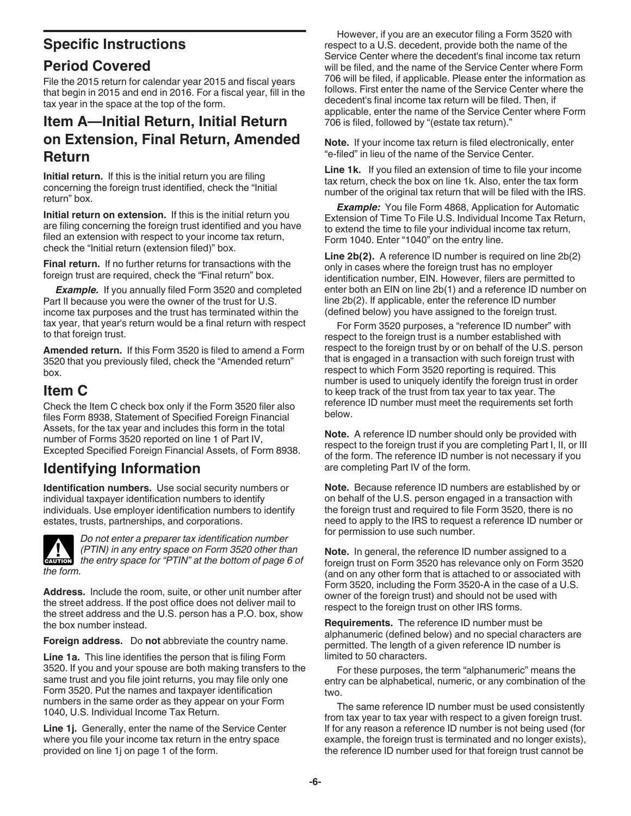# Specific Instructions

# Period Covered

File the 2015 return for calendar year 2015 and fiscal years that begin in 2015 and end in 2016. For a fiscal year, fill in the tax year in the space at the top of the form.

# Item A—Initial Return, Initial Return on Extension, Final Return, Amended Return

Initial return. If this is the initial return you are filing concerning the foreign trust identified, check the "Initial return" box.

Initial return on extension. If this is the initial return you are filing concerning the foreign trust identified and you have filed an extension with respect to your income tax return, check the "Initial return (extension filed)" box.

Final return. If no further returns for transactions with the foreign trust are required, check the "Final return" box.

**Example.** If you annually filed Form 3520 and completed Part II because you were the owner of the trust for U.S. income tax purposes and the trust has terminated within the tax year, that year's return would be a final return with respect to that foreign trust.

Amended return. If this Form 3520 is filed to amend a Form 3520 that you previously filed, check the "Amended return" box.

# Item C

Check the Item C check box only if the Form 3520 filer also files Form 8938, Statement of Specified Foreign Financial Assets, for the tax year and includes this form in the total number of Forms 3520 reported on line 1 of Part IV, Excepted Specified Foreign Financial Assets, of Form 8938.

# Identifying Information

Identification numbers. Use social security numbers or individual taxpayer identification numbers to identify individuals. Use employer identification numbers to identify estates, trusts, partnerships, and corporations.



Do not enter a preparer tax identification number (PTIN) in any entry space on Form 3520 other than (PTIN) in any entry space on Form 3520 other than<br>the entry space for "PTIN" at the bottom of page 6 of

Address. Include the room, suite, or other unit number after the street address. If the post office does not deliver mail to the street address and the U.S. person has a P.O. box, show the box number instead.

Foreign address. Do not abbreviate the country name.

Line 1a. This line identifies the person that is filing Form 3520. If you and your spouse are both making transfers to the same trust and you file joint returns, you may file only one Form 3520. Put the names and taxpayer identification numbers in the same order as they appear on your Form 1040, U.S. Individual Income Tax Return.

Line 1*j*. Generally, enter the name of the Service Center where you file your income tax return in the entry space provided on line 1j on page 1 of the form.

However, if you are an executor filing a Form 3520 with respect to a U.S. decedent, provide both the name of the Service Center where the decedent's final income tax return will be filed, and the name of the Service Center where Form 706 will be filed, if applicable. Please enter the information as follows. First enter the name of the Service Center where the decedent's final income tax return will be filed. Then, if applicable, enter the name of the Service Center where Form 706 is filed, followed by "(estate tax return)."

Note. If your income tax return is filed electronically, enter "e-filed" in lieu of the name of the Service Center.

Line 1k. If you filed an extension of time to file your income tax return, check the box on line 1k. Also, enter the tax form number of the original tax return that will be filed with the IRS.

**Example:** You file Form 4868, Application for Automatic Extension of Time To File U.S. Individual Income Tax Return, to extend the time to file your individual income tax return, Form 1040. Enter "1040" on the entry line.

Line 2b(2). A reference ID number is required on line 2b(2) only in cases where the foreign trust has no employer identification number, EIN. However, filers are permitted to enter both an EIN on line 2b(1) and a reference ID number on line 2b(2). If applicable, enter the reference ID number (defined below) you have assigned to the foreign trust.

For Form 3520 purposes, a "reference ID number" with respect to the foreign trust is a number established with respect to the foreign trust by or on behalf of the U.S. person that is engaged in a transaction with such foreign trust with respect to which Form 3520 reporting is required. This number is used to uniquely identify the foreign trust in order to keep track of the trust from tax year to tax year. The reference ID number must meet the requirements set forth below.

Note. A reference ID number should only be provided with respect to the foreign trust if you are completing Part I, II, or III of the form. The reference ID number is not necessary if you are completing Part IV of the form.

Note. Because reference ID numbers are established by or on behalf of the U.S. person engaged in a transaction with the foreign trust and required to file Form 3520, there is no need to apply to the IRS to request a reference ID number or for permission to use such number.

Note. In general, the reference ID number assigned to a foreign trust on Form 3520 has relevance only on Form 3520 (and on any other form that is attached to or associated with Form 3520, including the Form 3520-A in the case of a U.S. owner of the foreign trust) and should not be used with respect to the foreign trust on other IRS forms.

Requirements. The reference ID number must be alphanumeric (defined below) and no special characters are permitted. The length of a given reference ID number is limited to 50 characters.

For these purposes, the term "alphanumeric" means the entry can be alphabetical, numeric, or any combination of the two.

The same reference ID number must be used consistently from tax year to tax year with respect to a given foreign trust. If for any reason a reference ID number is not being used (for example, the foreign trust is terminated and no longer exists), the reference ID number used for that foreign trust cannot be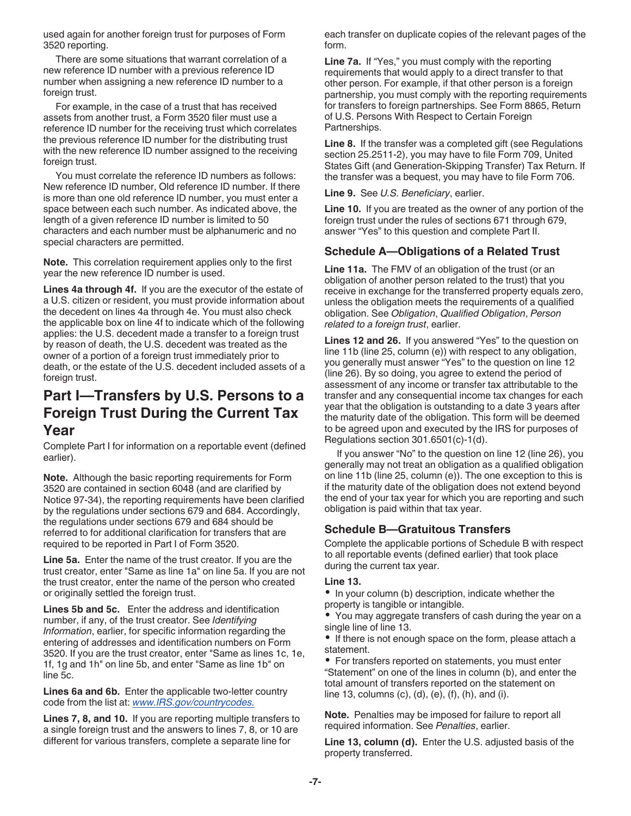used again for another foreign trust for purposes of Form 3520 reporting.

There are some situations that warrant correlation of a new reference ID number with a previous reference ID number when assigning a new reference ID number to a foreign trust.

For example, in the case of a trust that has received assets from another trust, a Form 3520 filer must use a reference ID number for the receiving trust which correlates the previous reference ID number for the distributing trust with the new reference ID number assigned to the receiving foreign trust.

You must correlate the reference ID numbers as follows: New reference ID number, Old reference ID number. If there is more than one old reference ID number, you must enter a space between each such number. As indicated above, the length of a given reference ID number is limited to 50 characters and each number must be alphanumeric and no special characters are permitted.

Note. This correlation requirement applies only to the first year the new reference ID number is used.

Lines 4a through 4f. If you are the executor of the estate of a U.S. citizen or resident, you must provide information about the decedent on lines 4a through 4e. You must also check the applicable box on line 4f to indicate which of the following applies: the U.S. decedent made a transfer to a foreign trust by reason of death, the U.S. decedent was treated as the owner of a portion of a foreign trust immediately prior to death, or the estate of the U.S. decedent included assets of a foreign trust.

## Part I—Transfers by U.S. Persons to a Foreign Trust During the Current Tax Year

Complete Part I for information on a reportable event (defined earlier).

Note. Although the basic reporting requirements for Form 3520 are contained in section 6048 (and are clarified by Notice 97-34), the reporting requirements have been clarified by the regulations under sections 679 and 684. Accordingly, the regulations under sections 679 and 684 should be referred to for additional clarification for transfers that are required to be reported in Part I of Form 3520.

Line 5a. Enter the name of the trust creator. If you are the trust creator, enter "Same as line 1a" on line 5a. If you are not the trust creator, enter the name of the person who created or originally settled the foreign trust.

Lines 5b and 5c. Enter the address and identification number, if any, of the trust creator. See Identifying Information, earlier, for specific information regarding the entering of addresses and identification numbers on Form 3520. If you are the trust creator, enter "Same as lines 1c, 1e, 1f, 1g and 1h" on line 5b, and enter "Same as line 1b" on line 5c.

Lines 6a and 6b. Enter the applicable two-letter country code from the list at: www.IRS.gov/countrycodes.

Lines 7, 8, and 10. If you are reporting multiple transfers to a single foreign trust and the answers to lines 7, 8, or 10 are different for various transfers, complete a separate line for

each transfer on duplicate copies of the relevant pages of the form.

Line 7a. If "Yes," you must comply with the reporting requirements that would apply to a direct transfer to that other person. For example, if that other person is a foreign partnership, you must comply with the reporting requirements for transfers to foreign partnerships. See Form 8865, Return of U.S. Persons With Respect to Certain Foreign Partnerships.

Line 8. If the transfer was a completed gift (see Regulations section 25.2511-2), you may have to file Form 709, United States Gift (and Generation-Skipping Transfer) Tax Return. If the transfer was a bequest, you may have to file Form 706.

Line 9. See U.S. Beneficiary, earlier.

Line 10. If you are treated as the owner of any portion of the foreign trust under the rules of sections 671 through 679, answer "Yes" to this question and complete Part II.

#### Schedule A—Obligations of a Related Trust

Line 11a. The FMV of an obligation of the trust (or an obligation of another person related to the trust) that you receive in exchange for the transferred property equals zero, unless the obligation meets the requirements of a qualified obligation. See Obligation, Qualified Obligation, Person related to a foreign trust, earlier.

Lines 12 and 26. If you answered "Yes" to the question on line 11b (line 25, column (e)) with respect to any obligation, you generally must answer "Yes" to the question on line 12 (line 26). By so doing, you agree to extend the period of assessment of any income or transfer tax attributable to the transfer and any consequential income tax changes for each year that the obligation is outstanding to a date 3 years after the maturity date of the obligation. This form will be deemed to be agreed upon and executed by the IRS for purposes of Regulations section 301.6501(c)-1(d).

If you answer "No" to the question on line 12 (line 26), you generally may not treat an obligation as a qualified obligation on line 11b (line 25, column (e)). The one exception to this is if the maturity date of the obligation does not extend beyond the end of your tax year for which you are reporting and such obligation is paid within that tax year.

### Schedule B—Gratuitous Transfers

Complete the applicable portions of Schedule B with respect to all reportable events (defined earlier) that took place during the current tax year.

#### Line 13.

• In your column (b) description, indicate whether the property is tangible or intangible.

You may aggregate transfers of cash during the year on a single line of line 13.

• If there is not enough space on the form, please attach a statement.

For transfers reported on statements, you must enter "Statement" on one of the lines in column (b), and enter the total amount of transfers reported on the statement on line 13, columns (c), (d), (e), (f), (h), and (i).

Note. Penalties may be imposed for failure to report all required information. See Penalties, earlier.

Line 13, column (d). Enter the U.S. adjusted basis of the property transferred.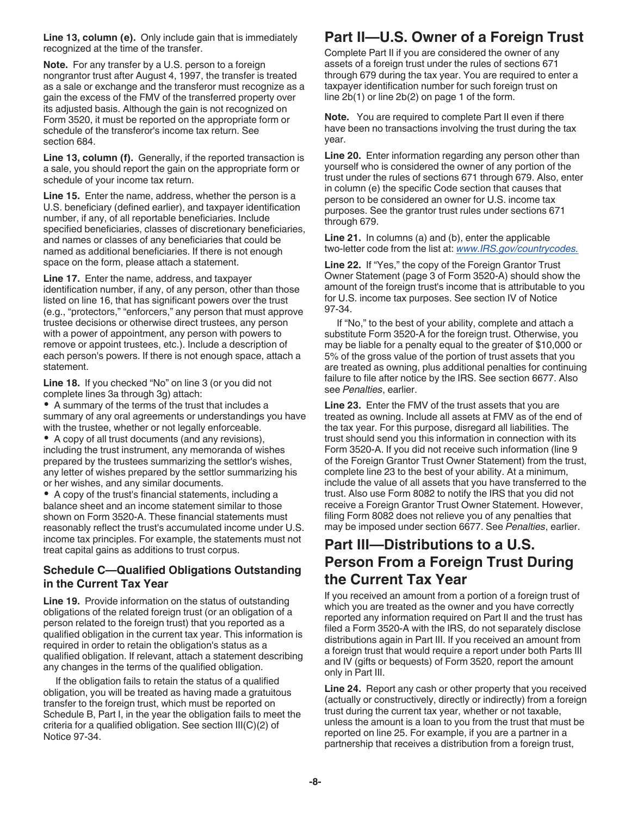Line 13, column (e). Only include gain that is immediately recognized at the time of the transfer.

Note. For any transfer by a U.S. person to a foreign nongrantor trust after August 4, 1997, the transfer is treated as a sale or exchange and the transferor must recognize as a gain the excess of the FMV of the transferred property over its adjusted basis. Although the gain is not recognized on Form 3520, it must be reported on the appropriate form or schedule of the transferor's income tax return. See section 684.

Line 13, column (f). Generally, if the reported transaction is a sale, you should report the gain on the appropriate form or schedule of your income tax return.

Line 15. Enter the name, address, whether the person is a U.S. beneficiary (defined earlier), and taxpayer identification number, if any, of all reportable beneficiaries. Include specified beneficiaries, classes of discretionary beneficiaries, and names or classes of any beneficiaries that could be named as additional beneficiaries. If there is not enough space on the form, please attach a statement.

Line 17. Enter the name, address, and taxpayer identification number, if any, of any person, other than those listed on line 16, that has significant powers over the trust (e.g., "protectors," "enforcers," any person that must approve trustee decisions or otherwise direct trustees, any person with a power of appointment, any person with powers to remove or appoint trustees, etc.). Include a description of each person's powers. If there is not enough space, attach a statement.

Line 18. If you checked "No" on line 3 (or you did not complete lines 3a through 3g) attach:

A summary of the terms of the trust that includes a summary of any oral agreements or understandings you have with the trustee, whether or not legally enforceable.

A copy of all trust documents (and any revisions), including the trust instrument, any memoranda of wishes prepared by the trustees summarizing the settlor's wishes, any letter of wishes prepared by the settlor summarizing his or her wishes, and any similar documents.

A copy of the trust's financial statements, including a balance sheet and an income statement similar to those shown on Form 3520-A. These financial statements must reasonably reflect the trust's accumulated income under U.S. income tax principles. For example, the statements must not treat capital gains as additions to trust corpus.

### Schedule C—Qualified Obligations Outstanding in the Current Tax Year

Line 19. Provide information on the status of outstanding obligations of the related foreign trust (or an obligation of a person related to the foreign trust) that you reported as a qualified obligation in the current tax year. This information is required in order to retain the obligation's status as a qualified obligation. If relevant, attach a statement describing any changes in the terms of the qualified obligation.

If the obligation fails to retain the status of a qualified obligation, you will be treated as having made a gratuitous transfer to the foreign trust, which must be reported on Schedule B, Part I, in the year the obligation fails to meet the criteria for a qualified obligation. See section III(C)(2) of Notice 97-34.

# Part II—U.S. Owner of a Foreign Trust

Complete Part II if you are considered the owner of any assets of a foreign trust under the rules of sections 671 through 679 during the tax year. You are required to enter a taxpayer identification number for such foreign trust on line 2b(1) or line 2b(2) on page 1 of the form.

Note. You are required to complete Part II even if there have been no transactions involving the trust during the tax year.

Line 20. Enter information regarding any person other than yourself who is considered the owner of any portion of the trust under the rules of sections 671 through 679. Also, enter in column (e) the specific Code section that causes that person to be considered an owner for U.S. income tax purposes. See the grantor trust rules under sections 671 through 679.

Line 21. In columns (a) and (b), enter the applicable two-letter code from the list at: www.IRS.gov/countrycodes.

Line 22. If "Yes," the copy of the Foreign Grantor Trust Owner Statement (page 3 of Form 3520-A) should show the amount of the foreign trust's income that is attributable to you for U.S. income tax purposes. See section IV of Notice 97-34.

If "No," to the best of your ability, complete and attach a substitute Form 3520-A for the foreign trust. Otherwise, you may be liable for a penalty equal to the greater of \$10,000 or 5% of the gross value of the portion of trust assets that you are treated as owning, plus additional penalties for continuing failure to file after notice by the IRS. See section 6677. Also see Penalties, earlier.

Line 23. Enter the FMV of the trust assets that you are treated as owning. Include all assets at FMV as of the end of the tax year. For this purpose, disregard all liabilities. The trust should send you this information in connection with its Form 3520-A. If you did not receive such information (line 9 of the Foreign Grantor Trust Owner Statement) from the trust, complete line 23 to the best of your ability. At a minimum, include the value of all assets that you have transferred to the trust. Also use Form 8082 to notify the IRS that you did not receive a Foreign Grantor Trust Owner Statement. However, filing Form 8082 does not relieve you of any penalties that may be imposed under section 6677. See Penalties, earlier.

# Part III—Distributions to a U.S. Person From a Foreign Trust During the Current Tax Year

If you received an amount from a portion of a foreign trust of which you are treated as the owner and you have correctly reported any information required on Part II and the trust has filed a Form 3520-A with the IRS, do not separately disclose distributions again in Part III. If you received an amount from a foreign trust that would require a report under both Parts III and IV (gifts or bequests) of Form 3520, report the amount only in Part III.

Line 24. Report any cash or other property that you received (actually or constructively, directly or indirectly) from a foreign trust during the current tax year, whether or not taxable, unless the amount is a loan to you from the trust that must be reported on line 25. For example, if you are a partner in a partnership that receives a distribution from a foreign trust,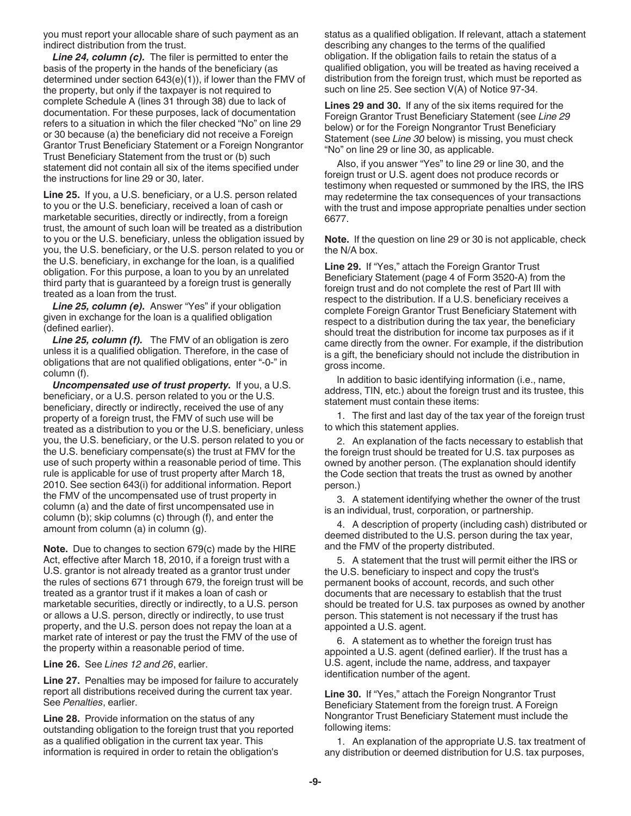you must report your allocable share of such payment as an indirect distribution from the trust.

Line 24, column (c). The filer is permitted to enter the basis of the property in the hands of the beneficiary (as determined under section 643(e)(1)), if lower than the FMV of the property, but only if the taxpayer is not required to complete Schedule A (lines 31 through 38) due to lack of documentation. For these purposes, lack of documentation refers to a situation in which the filer checked "No" on line 29 or 30 because (a) the beneficiary did not receive a Foreign Grantor Trust Beneficiary Statement or a Foreign Nongrantor Trust Beneficiary Statement from the trust or (b) such statement did not contain all six of the items specified under the instructions for line 29 or 30, later.

Line 25. If you, a U.S. beneficiary, or a U.S. person related to you or the U.S. beneficiary, received a loan of cash or marketable securities, directly or indirectly, from a foreign trust, the amount of such loan will be treated as a distribution to you or the U.S. beneficiary, unless the obligation issued by you, the U.S. beneficiary, or the U.S. person related to you or the U.S. beneficiary, in exchange for the loan, is a qualified obligation. For this purpose, a loan to you by an unrelated third party that is guaranteed by a foreign trust is generally treated as a loan from the trust.

Line 25, column (e). Answer "Yes" if your obligation given in exchange for the loan is a qualified obligation (defined earlier).

Line 25, column (f). The FMV of an obligation is zero unless it is a qualified obligation. Therefore, in the case of obligations that are not qualified obligations, enter "-0-" in column (f).

Uncompensated use of trust property. If you, a U.S. beneficiary, or a U.S. person related to you or the U.S. beneficiary, directly or indirectly, received the use of any property of a foreign trust, the FMV of such use will be treated as a distribution to you or the U.S. beneficiary, unless you, the U.S. beneficiary, or the U.S. person related to you or the U.S. beneficiary compensate(s) the trust at FMV for the use of such property within a reasonable period of time. This rule is applicable for use of trust property after March 18, 2010. See section 643(i) for additional information. Report the FMV of the uncompensated use of trust property in column (a) and the date of first uncompensated use in column (b); skip columns (c) through (f), and enter the amount from column (a) in column (g).

Note. Due to changes to section 679(c) made by the HIRE Act, effective after March 18, 2010, if a foreign trust with a U.S. grantor is not already treated as a grantor trust under the rules of sections 671 through 679, the foreign trust will be treated as a grantor trust if it makes a loan of cash or marketable securities, directly or indirectly, to a U.S. person or allows a U.S. person, directly or indirectly, to use trust property, and the U.S. person does not repay the loan at a market rate of interest or pay the trust the FMV of the use of the property within a reasonable period of time.

Line 26. See Lines 12 and 26, earlier.

Line 27. Penalties may be imposed for failure to accurately report all distributions received during the current tax year. See Penalties, earlier.

Line 28. Provide information on the status of any outstanding obligation to the foreign trust that you reported as a qualified obligation in the current tax year. This information is required in order to retain the obligation's

status as a qualified obligation. If relevant, attach a statement describing any changes to the terms of the qualified obligation. If the obligation fails to retain the status of a qualified obligation, you will be treated as having received a distribution from the foreign trust, which must be reported as such on line 25. See section V(A) of Notice 97-34.

Lines 29 and 30. If any of the six items required for the Foreign Grantor Trust Beneficiary Statement (see Line 29 below) or for the Foreign Nongrantor Trust Beneficiary Statement (see Line 30 below) is missing, you must check "No" on line 29 or line 30, as applicable.

Also, if you answer "Yes" to line 29 or line 30, and the foreign trust or U.S. agent does not produce records or testimony when requested or summoned by the IRS, the IRS may redetermine the tax consequences of your transactions with the trust and impose appropriate penalties under section 6677.

Note. If the question on line 29 or 30 is not applicable, check the N/A box.

Line 29. If "Yes," attach the Foreign Grantor Trust Beneficiary Statement (page 4 of Form 3520-A) from the foreign trust and do not complete the rest of Part III with respect to the distribution. If a U.S. beneficiary receives a complete Foreign Grantor Trust Beneficiary Statement with respect to a distribution during the tax year, the beneficiary should treat the distribution for income tax purposes as if it came directly from the owner. For example, if the distribution is a gift, the beneficiary should not include the distribution in gross income.

In addition to basic identifying information (i.e., name, address, TIN, etc.) about the foreign trust and its trustee, this statement must contain these items:

1. The first and last day of the tax year of the foreign trust to which this statement applies.

2. An explanation of the facts necessary to establish that the foreign trust should be treated for U.S. tax purposes as owned by another person. (The explanation should identify the Code section that treats the trust as owned by another person.)

3. A statement identifying whether the owner of the trust is an individual, trust, corporation, or partnership.

4. A description of property (including cash) distributed or deemed distributed to the U.S. person during the tax year, and the FMV of the property distributed.

5. A statement that the trust will permit either the IRS or the U.S. beneficiary to inspect and copy the trust's permanent books of account, records, and such other documents that are necessary to establish that the trust should be treated for U.S. tax purposes as owned by another person. This statement is not necessary if the trust has appointed a U.S. agent.

6. A statement as to whether the foreign trust has appointed a U.S. agent (defined earlier). If the trust has a U.S. agent, include the name, address, and taxpayer identification number of the agent.

Line 30. If "Yes," attach the Foreign Nongrantor Trust Beneficiary Statement from the foreign trust. A Foreign Nongrantor Trust Beneficiary Statement must include the following items:

1. An explanation of the appropriate U.S. tax treatment of any distribution or deemed distribution for U.S. tax purposes,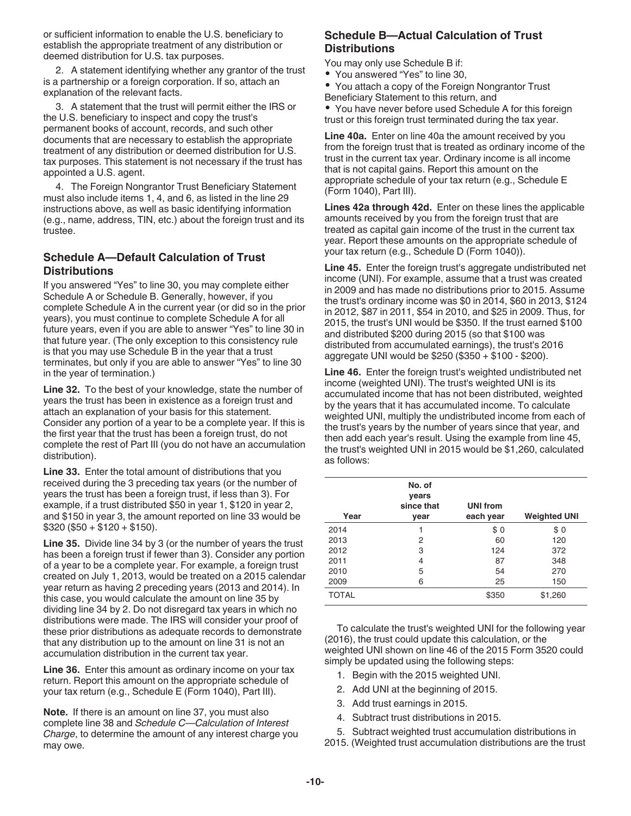or sufficient information to enable the U.S. beneficiary to establish the appropriate treatment of any distribution or deemed distribution for U.S. tax purposes.

2. A statement identifying whether any grantor of the trust is a partnership or a foreign corporation. If so, attach an explanation of the relevant facts.

3. A statement that the trust will permit either the IRS or the U.S. beneficiary to inspect and copy the trust's permanent books of account, records, and such other documents that are necessary to establish the appropriate treatment of any distribution or deemed distribution for U.S. tax purposes. This statement is not necessary if the trust has appointed a U.S. agent.

4. The Foreign Nongrantor Trust Beneficiary Statement must also include items 1, 4, and 6, as listed in the line 29 instructions above, as well as basic identifying information (e.g., name, address, TIN, etc.) about the foreign trust and its trustee.

#### Schedule A—Default Calculation of Trust **Distributions**

If you answered "Yes" to line 30, you may complete either Schedule A or Schedule B. Generally, however, if you complete Schedule A in the current year (or did so in the prior years), you must continue to complete Schedule A for all future years, even if you are able to answer "Yes" to line 30 in that future year. (The only exception to this consistency rule is that you may use Schedule B in the year that a trust terminates, but only if you are able to answer "Yes" to line 30 in the year of termination.)

Line 32. To the best of your knowledge, state the number of years the trust has been in existence as a foreign trust and attach an explanation of your basis for this statement. Consider any portion of a year to be a complete year. If this is the first year that the trust has been a foreign trust, do not complete the rest of Part III (you do not have an accumulation distribution).

Line 33. Enter the total amount of distributions that you received during the 3 preceding tax years (or the number of years the trust has been a foreign trust, if less than 3). For example, if a trust distributed \$50 in year 1, \$120 in year 2, and \$150 in year 3, the amount reported on line 33 would be  $$320 ($50 + $120 + $150).$ 

Line 35. Divide line 34 by 3 (or the number of years the trust has been a foreign trust if fewer than 3). Consider any portion of a year to be a complete year. For example, a foreign trust created on July 1, 2013, would be treated on a 2015 calendar year return as having 2 preceding years (2013 and 2014). In this case, you would calculate the amount on line 35 by dividing line 34 by 2. Do not disregard tax years in which no distributions were made. The IRS will consider your proof of these prior distributions as adequate records to demonstrate that any distribution up to the amount on line 31 is not an accumulation distribution in the current tax year.

Line 36. Enter this amount as ordinary income on your tax return. Report this amount on the appropriate schedule of your tax return (e.g., Schedule E (Form 1040), Part III).

Note. If there is an amount on line 37, you must also complete line 38 and Schedule C—Calculation of Interest Charge, to determine the amount of any interest charge you may owe.

### Schedule B—Actual Calculation of Trust **Distributions**

- You may only use Schedule B if:
- You answered "Yes" to line 30,
- You attach a copy of the Foreign Nongrantor Trust Beneficiary Statement to this return, and

You have never before used Schedule A for this foreign trust or this foreign trust terminated during the tax year.

Line 40a. Enter on line 40a the amount received by you from the foreign trust that is treated as ordinary income of the trust in the current tax year. Ordinary income is all income that is not capital gains. Report this amount on the appropriate schedule of your tax return (e.g., Schedule E (Form 1040), Part III).

Lines 42a through 42d. Enter on these lines the applicable amounts received by you from the foreign trust that are treated as capital gain income of the trust in the current tax year. Report these amounts on the appropriate schedule of your tax return (e.g., Schedule D (Form 1040)).

Line 45. Enter the foreign trust's aggregate undistributed net income (UNI). For example, assume that a trust was created in 2009 and has made no distributions prior to 2015. Assume the trust's ordinary income was \$0 in 2014, \$60 in 2013, \$124 in 2012, \$87 in 2011, \$54 in 2010, and \$25 in 2009. Thus, for 2015, the trust's UNI would be \$350. If the trust earned \$100 and distributed \$200 during 2015 (so that \$100 was distributed from accumulated earnings), the trust's 2016 aggregate UNI would be \$250 (\$350 + \$100 - \$200).

Line 46. Enter the foreign trust's weighted undistributed net income (weighted UNI). The trust's weighted UNI is its accumulated income that has not been distributed, weighted by the years that it has accumulated income. To calculate weighted UNI, multiply the undistributed income from each of the trust's years by the number of years since that year, and then add each year's result. Using the example from line 45, the trust's weighted UNI in 2015 would be \$1,260, calculated as follows:

| Year         | No. of<br>years<br>since that<br>year | <b>UNI from</b><br>each year | <b>Weighted UNI</b> |
|--------------|---------------------------------------|------------------------------|---------------------|
| 2014         |                                       | \$0                          | \$0                 |
| 2013         | 2                                     | 60                           | 120                 |
| 2012         | 3                                     | 124                          | 372                 |
| 2011         | 4                                     | 87                           | 348                 |
| 2010         | 5                                     | 54                           | 270                 |
| 2009         | 6                                     | 25                           | 150                 |
| <b>TOTAL</b> |                                       | \$350                        | \$1,260             |

To calculate the trust's weighted UNI for the following year (2016), the trust could update this calculation, or the weighted UNI shown on line 46 of the 2015 Form 3520 could simply be updated using the following steps:

- 1. Begin with the 2015 weighted UNI.
- 2. Add UNI at the beginning of 2015.
- 3. Add trust earnings in 2015.
- 4. Subtract trust distributions in 2015.

5. Subtract weighted trust accumulation distributions in

2015. (Weighted trust accumulation distributions are the trust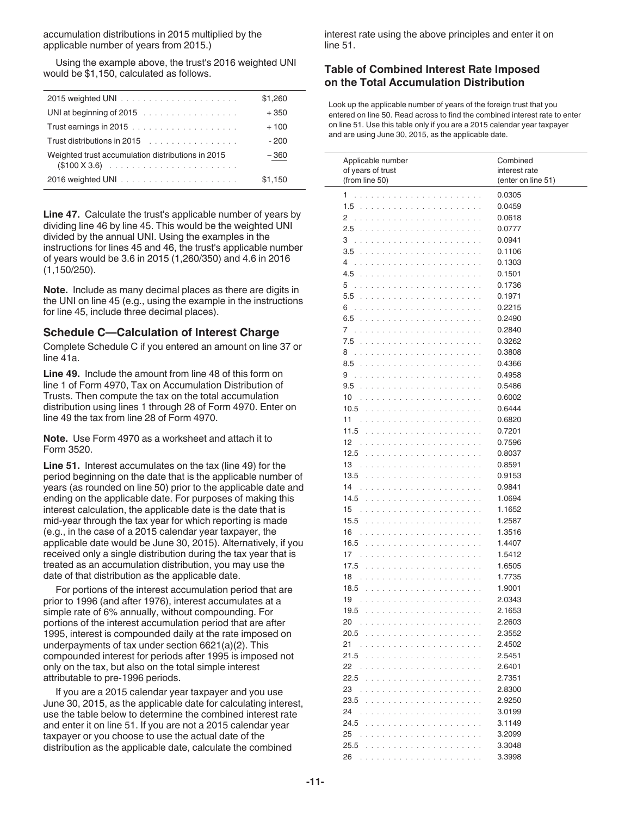accumulation distributions in 2015 multiplied by the applicable number of years from 2015.)

Using the example above, the trust's 2016 weighted UNI would be \$1,150, calculated as follows.

|                                                   | \$1,260 |
|---------------------------------------------------|---------|
| UNI at beginning of 2015                          | $+350$  |
|                                                   | $+100$  |
| Trust distributions in 2015                       | $-200$  |
| Weighted trust accumulation distributions in 2015 | $-360$  |
|                                                   | \$1,150 |
|                                                   |         |

Line 47. Calculate the trust's applicable number of years by dividing line 46 by line 45. This would be the weighted UNI divided by the annual UNI. Using the examples in the instructions for lines 45 and 46, the trust's applicable number of years would be 3.6 in 2015 (1,260/350) and 4.6 in 2016 (1,150/250).

Note. Include as many decimal places as there are digits in the UNI on line 45 (e.g., using the example in the instructions for line 45, include three decimal places).

#### Schedule C—Calculation of Interest Charge

Complete Schedule C if you entered an amount on line 37 or line 41a.

Line 49. Include the amount from line 48 of this form on line 1 of Form 4970, Tax on Accumulation Distribution of Trusts. Then compute the tax on the total accumulation distribution using lines 1 through 28 of Form 4970. Enter on line 49 the tax from line 28 of Form 4970.

Note. Use Form 4970 as a worksheet and attach it to Form 3520.

Line 51. Interest accumulates on the tax (line 49) for the period beginning on the date that is the applicable number of years (as rounded on line 50) prior to the applicable date and ending on the applicable date. For purposes of making this interest calculation, the applicable date is the date that is mid-year through the tax year for which reporting is made (e.g., in the case of a 2015 calendar year taxpayer, the applicable date would be June 30, 2015). Alternatively, if you received only a single distribution during the tax year that is treated as an accumulation distribution, you may use the date of that distribution as the applicable date.

For portions of the interest accumulation period that are prior to 1996 (and after 1976), interest accumulates at a simple rate of 6% annually, without compounding. For portions of the interest accumulation period that are after 1995, interest is compounded daily at the rate imposed on underpayments of tax under section 6621(a)(2). This compounded interest for periods after 1995 is imposed not only on the tax, but also on the total simple interest attributable to pre-1996 periods.

If you are a 2015 calendar year taxpayer and you use June 30, 2015, as the applicable date for calculating interest, use the table below to determine the combined interest rate and enter it on line 51. If you are not a 2015 calendar year taxpayer or you choose to use the actual date of the distribution as the applicable date, calculate the combined

interest rate using the above principles and enter it on line 51.

#### Table of Combined Interest Rate Imposed on the Total Accumulation Distribution

Look up the applicable number of years of the foreign trust that you entered on line 50. Read across to find the combined interest rate to enter on line 51. Use this table only if you are a 2015 calendar year taxpayer and are using June 30, 2015, as the applicable date.

| Applicable number<br>of years of trust<br>(from line 50)                                                                                                                                                                             | Combined<br>interest rate<br>(enter on line 51) |
|--------------------------------------------------------------------------------------------------------------------------------------------------------------------------------------------------------------------------------------|-------------------------------------------------|
|                                                                                                                                                                                                                                      |                                                 |
| 1                                                                                                                                                                                                                                    | 0.0305                                          |
| 1.5                                                                                                                                                                                                                                  | 0.0459                                          |
| 2                                                                                                                                                                                                                                    | 0.0618                                          |
| 2.5                                                                                                                                                                                                                                  | 0.0777                                          |
| 3                                                                                                                                                                                                                                    | 0.0941                                          |
| 3.5                                                                                                                                                                                                                                  | 0.1106                                          |
| 4                                                                                                                                                                                                                                    | 0.1303                                          |
| 4.5                                                                                                                                                                                                                                  | 0.1501                                          |
| 5                                                                                                                                                                                                                                    | 0.1736                                          |
| 5.5                                                                                                                                                                                                                                  | 0.1971                                          |
| 6<br><u>.</u><br>$\sim$ $\sim$ $\sim$                                                                                                                                                                                                | 0.2215                                          |
| 6.5                                                                                                                                                                                                                                  | 0.2490                                          |
| 7                                                                                                                                                                                                                                    | 0.2840                                          |
| 7.5                                                                                                                                                                                                                                  | 0.3262                                          |
| 8                                                                                                                                                                                                                                    | 0.3808                                          |
| 8.5                                                                                                                                                                                                                                  | 0.4366                                          |
| 9                                                                                                                                                                                                                                    | 0.4958                                          |
| 9.5                                                                                                                                                                                                                                  | 0.5486                                          |
| 10                                                                                                                                                                                                                                   | 0.6002                                          |
| 10.5                                                                                                                                                                                                                                 | 0.6444                                          |
| 11                                                                                                                                                                                                                                   | 0.6820                                          |
| 11.5<br>.<br>and a straight                                                                                                                                                                                                          | 0.7201                                          |
| 12                                                                                                                                                                                                                                   | 0.7596                                          |
| 12.5                                                                                                                                                                                                                                 | 0.8037                                          |
| 13                                                                                                                                                                                                                                   | 0.8591                                          |
| 13.5                                                                                                                                                                                                                                 | 0.9153                                          |
| 14<br>distribution of the contract of the contract of the                                                                                                                                                                            | 0.9841                                          |
| 14.5                                                                                                                                                                                                                                 | 1.0694                                          |
| 15                                                                                                                                                                                                                                   | 1.1652                                          |
| 15.5                                                                                                                                                                                                                                 | 1.2587                                          |
| 16                                                                                                                                                                                                                                   | 1.3516                                          |
| 16.5                                                                                                                                                                                                                                 | 1.4407                                          |
| 17                                                                                                                                                                                                                                   | 1.5412                                          |
| 17.5                                                                                                                                                                                                                                 | 1.6505                                          |
| 18                                                                                                                                                                                                                                   | 1.7735                                          |
| 18.5                                                                                                                                                                                                                                 | 1.9001                                          |
| 19                                                                                                                                                                                                                                   | 2.0343                                          |
| 19.5                                                                                                                                                                                                                                 | 2.1653                                          |
| 20                                                                                                                                                                                                                                   | 2.2603                                          |
| 20.5                                                                                                                                                                                                                                 | 2.3552                                          |
| 21                                                                                                                                                                                                                                   | 2.4502                                          |
| 21.5                                                                                                                                                                                                                                 | 2.5451                                          |
| 22<br>di sebagai sebagai sebagai sebagai sebagai                                                                                                                                                                                     | 2.6401                                          |
| 22.5                                                                                                                                                                                                                                 | 2.7351                                          |
| 23<br>di sebagai sebagai sebagai sebagai sebagai sebagai sebagai sebagai sebagai sebagai sebagai sebagai sebagai sebagai sebagai sebagai sebagai sebagai sebagai sebagai sebagai sebagai sebagai sebagai sebagai sebagai sebagai seb | 2.8300                                          |
| 23.5                                                                                                                                                                                                                                 | 2.9250                                          |
| 24                                                                                                                                                                                                                                   | 3.0199                                          |
| 24.5                                                                                                                                                                                                                                 | 3.1149                                          |
| 25                                                                                                                                                                                                                                   | 3.2099                                          |
| 25.5                                                                                                                                                                                                                                 | 3.3048                                          |
| 26                                                                                                                                                                                                                                   | 3.3998                                          |
|                                                                                                                                                                                                                                      |                                                 |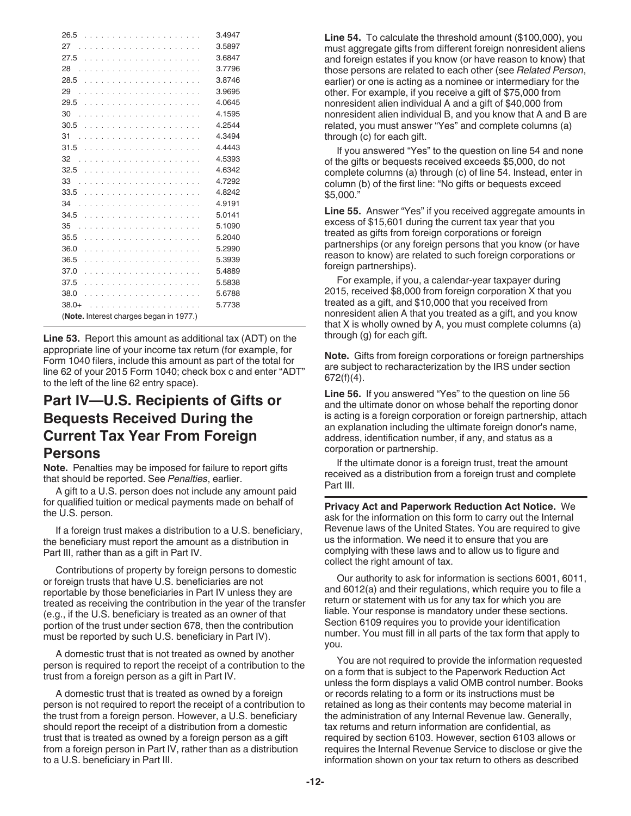| 26.5                                    |  |                                     |  |             |  |                                      |                      |                      |                  |           |                |  |  |  |  | 3.4947 |
|-----------------------------------------|--|-------------------------------------|--|-------------|--|--------------------------------------|----------------------|----------------------|------------------|-----------|----------------|--|--|--|--|--------|
| 27                                      |  |                                     |  |             |  |                                      |                      |                      |                  |           |                |  |  |  |  | 3.5897 |
| 27.5                                    |  |                                     |  |             |  |                                      |                      |                      |                  |           |                |  |  |  |  | 3.6847 |
| 28                                      |  |                                     |  |             |  |                                      |                      |                      |                  |           |                |  |  |  |  | 3.7796 |
| 28.5                                    |  |                                     |  |             |  |                                      |                      |                      |                  |           |                |  |  |  |  | 3.8746 |
| 29                                      |  |                                     |  |             |  |                                      |                      |                      |                  |           |                |  |  |  |  | 3.9695 |
| 29.5                                    |  |                                     |  |             |  |                                      | J.                   | $\ddot{\phantom{a}}$ | $\sim 10$        | $\lambda$ | and a straight |  |  |  |  | 4.0645 |
| 30                                      |  |                                     |  |             |  |                                      |                      |                      |                  |           |                |  |  |  |  | 4.1595 |
| 30.5                                    |  |                                     |  |             |  |                                      |                      |                      |                  |           |                |  |  |  |  | 4.2544 |
| 31                                      |  |                                     |  |             |  |                                      |                      |                      |                  |           |                |  |  |  |  | 4.3494 |
| 31.5                                    |  |                                     |  |             |  |                                      |                      |                      |                  |           |                |  |  |  |  | 4.4443 |
| 32                                      |  |                                     |  |             |  |                                      |                      |                      |                  |           |                |  |  |  |  | 4.5393 |
| 32.5                                    |  |                                     |  |             |  |                                      |                      |                      |                  |           |                |  |  |  |  | 4.6342 |
| 33                                      |  | $\mathbb{Z}^2$ . The $\mathbb{Z}^2$ |  |             |  |                                      | $\ddot{\phantom{a}}$ | J.                   | $\sim 100$       |           | and a straight |  |  |  |  | 4.7292 |
| 33.5                                    |  |                                     |  |             |  |                                      |                      |                      |                  |           |                |  |  |  |  | 4.8242 |
| 34                                      |  |                                     |  |             |  |                                      |                      |                      |                  |           |                |  |  |  |  | 4.9191 |
| 34.5                                    |  |                                     |  |             |  |                                      |                      |                      |                  |           |                |  |  |  |  | 5.0141 |
| 35                                      |  |                                     |  |             |  |                                      |                      |                      |                  |           |                |  |  |  |  | 5.1090 |
| 35.5                                    |  |                                     |  |             |  |                                      |                      |                      |                  |           |                |  |  |  |  | 5.2040 |
| 36.0                                    |  |                                     |  |             |  |                                      |                      |                      |                  |           |                |  |  |  |  | 5.2990 |
| 36.5                                    |  |                                     |  |             |  |                                      | $\sim$ $\sim$        |                      | $\sim 100$ $\mu$ |           | and a straight |  |  |  |  | 5.3939 |
| 37.0                                    |  |                                     |  | and a state |  | de la caractería de la caractería de |                      |                      |                  |           |                |  |  |  |  | 5.4889 |
| 37.5                                    |  |                                     |  |             |  |                                      |                      |                      |                  |           |                |  |  |  |  | 5.5838 |
| 38.0                                    |  |                                     |  |             |  |                                      |                      |                      |                  |           |                |  |  |  |  | 5.6788 |
| $38.0+$                                 |  |                                     |  |             |  |                                      |                      |                      |                  |           |                |  |  |  |  | 5.7738 |
| (Note. Interest charges began in 1977.) |  |                                     |  |             |  |                                      |                      |                      |                  |           |                |  |  |  |  |        |

Line 53. Report this amount as additional tax (ADT) on the appropriate line of your income tax return (for example, for Form 1040 filers, include this amount as part of the total for line 62 of your 2015 Form 1040; check box c and enter "ADT" to the left of the line 62 entry space).

## Part IV—U.S. Recipients of Gifts or Bequests Received During the Current Tax Year From Foreign Persons

Note. Penalties may be imposed for failure to report gifts that should be reported. See Penalties, earlier.

A gift to a U.S. person does not include any amount paid for qualified tuition or medical payments made on behalf of the U.S. person.

If a foreign trust makes a distribution to a U.S. beneficiary, the beneficiary must report the amount as a distribution in Part III, rather than as a gift in Part IV.

Contributions of property by foreign persons to domestic or foreign trusts that have U.S. beneficiaries are not reportable by those beneficiaries in Part IV unless they are treated as receiving the contribution in the year of the transfer (e.g., if the U.S. beneficiary is treated as an owner of that portion of the trust under section 678, then the contribution must be reported by such U.S. beneficiary in Part IV).

A domestic trust that is not treated as owned by another person is required to report the receipt of a contribution to the trust from a foreign person as a gift in Part IV.

A domestic trust that is treated as owned by a foreign person is not required to report the receipt of a contribution to the trust from a foreign person. However, a U.S. beneficiary should report the receipt of a distribution from a domestic trust that is treated as owned by a foreign person as a gift from a foreign person in Part IV, rather than as a distribution to a U.S. beneficiary in Part III.

Line 54. To calculate the threshold amount (\$100,000), you must aggregate gifts from different foreign nonresident aliens and foreign estates if you know (or have reason to know) that those persons are related to each other (see Related Person, earlier) or one is acting as a nominee or intermediary for the other. For example, if you receive a gift of \$75,000 from nonresident alien individual A and a gift of \$40,000 from nonresident alien individual B, and you know that A and B are related, you must answer "Yes" and complete columns (a) through (c) for each gift.

If you answered "Yes" to the question on line 54 and none of the gifts or bequests received exceeds \$5,000, do not complete columns (a) through (c) of line 54. Instead, enter in column (b) of the first line: "No gifts or bequests exceed \$5,000."

Line 55. Answer "Yes" if you received aggregate amounts in excess of \$15,601 during the current tax year that you treated as gifts from foreign corporations or foreign partnerships (or any foreign persons that you know (or have reason to know) are related to such foreign corporations or foreign partnerships).

For example, if you, a calendar-year taxpayer during 2015, received \$8,000 from foreign corporation X that you treated as a gift, and \$10,000 that you received from nonresident alien A that you treated as a gift, and you know that X is wholly owned by A, you must complete columns (a) through (g) for each gift.

Note. Gifts from foreign corporations or foreign partnerships are subject to recharacterization by the IRS under section 672(f)(4).

Line 56. If you answered "Yes" to the question on line 56 and the ultimate donor on whose behalf the reporting donor is acting is a foreign corporation or foreign partnership, attach an explanation including the ultimate foreign donor's name, address, identification number, if any, and status as a corporation or partnership.

If the ultimate donor is a foreign trust, treat the amount received as a distribution from a foreign trust and complete Part III.

Privacy Act and Paperwork Reduction Act Notice. We ask for the information on this form to carry out the Internal Revenue laws of the United States. You are required to give us the information. We need it to ensure that you are complying with these laws and to allow us to figure and collect the right amount of tax.

Our authority to ask for information is sections 6001, 6011, and 6012(a) and their regulations, which require you to file a return or statement with us for any tax for which you are liable. Your response is mandatory under these sections. Section 6109 requires you to provide your identification number. You must fill in all parts of the tax form that apply to you.

You are not required to provide the information requested on a form that is subject to the Paperwork Reduction Act unless the form displays a valid OMB control number. Books or records relating to a form or its instructions must be retained as long as their contents may become material in the administration of any Internal Revenue law. Generally, tax returns and return information are confidential, as required by section 6103. However, section 6103 allows or requires the Internal Revenue Service to disclose or give the information shown on your tax return to others as described